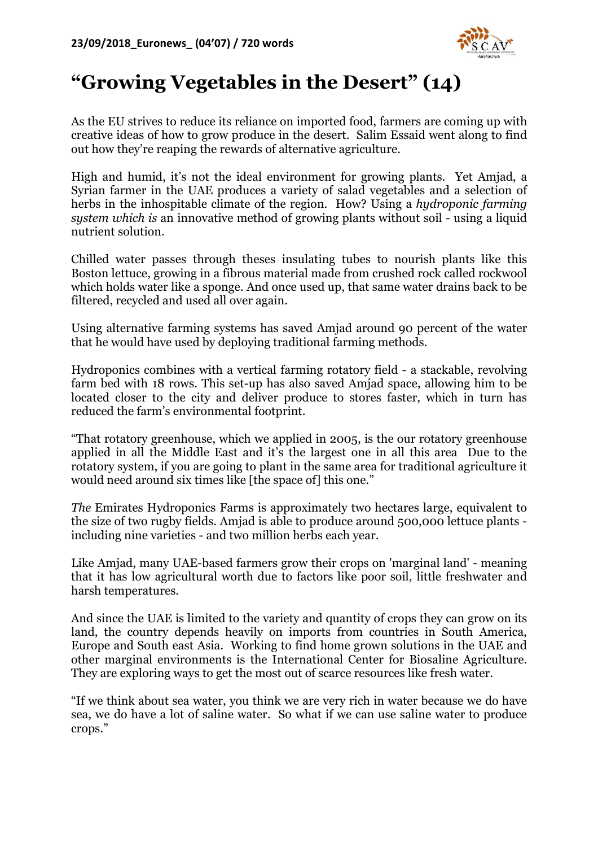

## **"Growing Vegetables in the Desert" (14)**

As the EU strives to reduce its reliance on imported food, farmers are coming up with creative ideas of how to grow produce in the desert. Salim Essaid went along to find out how they're reaping the rewards of alternative agriculture.

High and humid, it's not the ideal environment for growing plants. Yet Amjad, a Syrian farmer in the UAE produces a variety of salad vegetables and a selection of herbs in the inhospitable climate of the region. How? Using a *hydroponic farming system which is* an innovative method of growing plants without soil - using a liquid nutrient solution.

Chilled water passes through theses insulating tubes to nourish plants like this Boston lettuce, growing in a fibrous material made from crushed rock called rockwool which holds water like a sponge. And once used up, that same water drains back to be filtered, recycled and used all over again.

Using alternative farming systems has saved Amjad around 90 percent of the water that he would have used by deploying traditional farming methods.

Hydroponics combines with a vertical farming rotatory field - a stackable, revolving farm bed with 18 rows. This set-up has also saved Amjad space, allowing him to be located closer to the city and deliver produce to stores faster, which in turn has reduced the farm's environmental footprint.

"That rotatory greenhouse, which we applied in 2005, is the our rotatory greenhouse applied in all the Middle East and it's the largest one in all this area Due to the rotatory system, if you are going to plant in the same area for traditional agriculture it would need around six times like [the space of] this one."

*The* Emirates Hydroponics Farms is approximately two hectares large, equivalent to the size of two rugby fields. Amjad is able to produce around 500,000 lettuce plants including nine varieties - and two million herbs each year.

Like Amjad, many UAE-based farmers grow their crops on 'marginal land' - meaning that it has low agricultural worth due to factors like poor soil, little freshwater and harsh temperatures.

And since the UAE is limited to the variety and quantity of crops they can grow on its land, the country depends heavily on imports from countries in South America, Europe and South east Asia. Working to find home grown solutions in the UAE and other marginal environments is the International Center for Biosaline Agriculture. They are exploring ways to get the most out of scarce resources like fresh water.

"If we think about sea water, you think we are very rich in water because we do have sea, we do have a lot of saline water. So what if we can use saline water to produce crops."